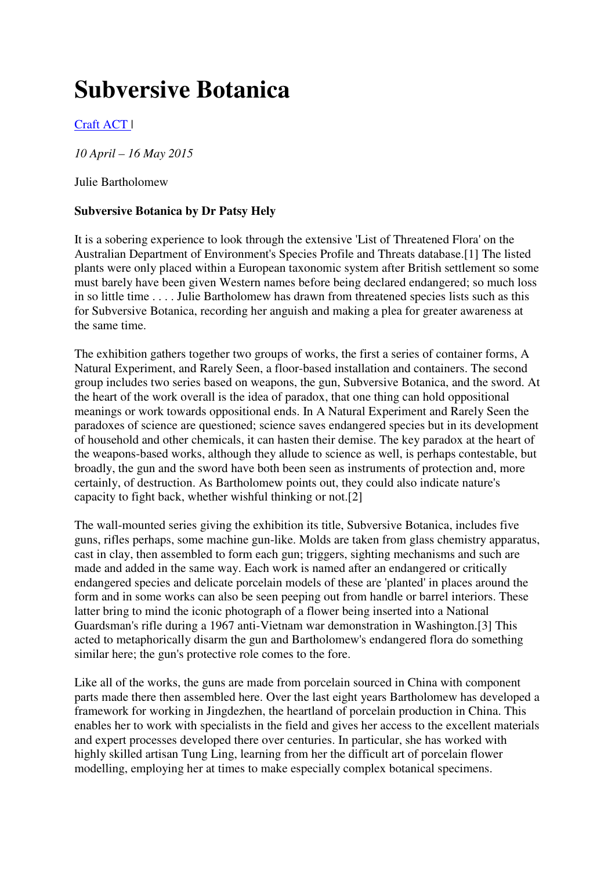## **Subversive Botanica**

Craft ACT |

*10 April – 16 May 2015*

Julie Bartholomew

## **Subversive Botanica by Dr Patsy Hely**

It is a sobering experience to look through the extensive 'List of Threatened Flora' on the Australian Department of Environment's Species Profile and Threats database.[1] The listed plants were only placed within a European taxonomic system after British settlement so some must barely have been given Western names before being declared endangered; so much loss in so little time . . . . Julie Bartholomew has drawn from threatened species lists such as this for Subversive Botanica, recording her anguish and making a plea for greater awareness at the same time.

The exhibition gathers together two groups of works, the first a series of container forms, A Natural Experiment, and Rarely Seen, a floor-based installation and containers. The second group includes two series based on weapons, the gun, Subversive Botanica, and the sword. At the heart of the work overall is the idea of paradox, that one thing can hold oppositional meanings or work towards oppositional ends. In A Natural Experiment and Rarely Seen the paradoxes of science are questioned; science saves endangered species but in its development of household and other chemicals, it can hasten their demise. The key paradox at the heart of the weapons-based works, although they allude to science as well, is perhaps contestable, but broadly, the gun and the sword have both been seen as instruments of protection and, more certainly, of destruction. As Bartholomew points out, they could also indicate nature's capacity to fight back, whether wishful thinking or not.[2]

The wall-mounted series giving the exhibition its title, Subversive Botanica, includes five guns, rifles perhaps, some machine gun-like. Molds are taken from glass chemistry apparatus, cast in clay, then assembled to form each gun; triggers, sighting mechanisms and such are made and added in the same way. Each work is named after an endangered or critically endangered species and delicate porcelain models of these are 'planted' in places around the form and in some works can also be seen peeping out from handle or barrel interiors. These latter bring to mind the iconic photograph of a flower being inserted into a National Guardsman's rifle during a 1967 anti-Vietnam war demonstration in Washington.[3] This acted to metaphorically disarm the gun and Bartholomew's endangered flora do something similar here; the gun's protective role comes to the fore.

Like all of the works, the guns are made from porcelain sourced in China with component parts made there then assembled here. Over the last eight years Bartholomew has developed a framework for working in Jingdezhen, the heartland of porcelain production in China. This enables her to work with specialists in the field and gives her access to the excellent materials and expert processes developed there over centuries. In particular, she has worked with highly skilled artisan Tung Ling, learning from her the difficult art of porcelain flower modelling, employing her at times to make especially complex botanical specimens.